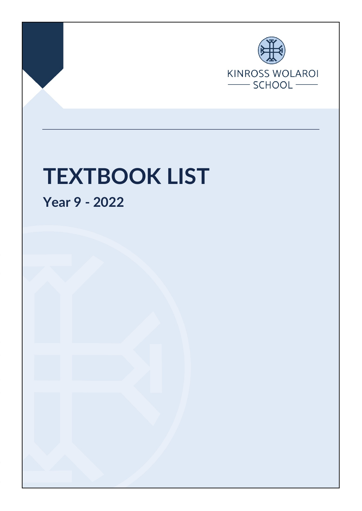

Page 1 of 4 Final Nov 2021

# **TEXTBOOK LIST**

**Year 9 - 2022**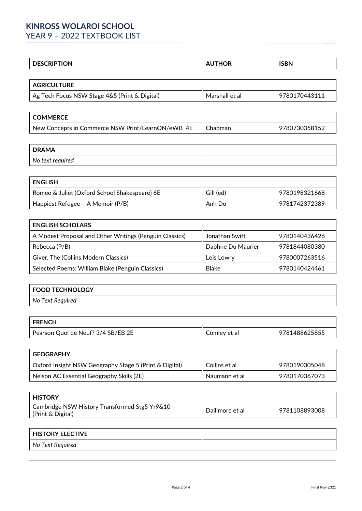## **KINROSS WOLAROI SCHOOL**

YEAR 9 - 2022 TEXTBOOK LIST

| - - -<br>חו<br>◡ | --<br>" | $P_{\rm{max}}$<br>$- - - -$ |
|------------------|---------|-----------------------------|
|                  |         |                             |

| <b>AGRICULTURE</b>                            |                |               |
|-----------------------------------------------|----------------|---------------|
| Ag Tech Focus NSW Stage 4&5 (Print & Digital) | Marshall et al | 9780170443111 |

| <b>COMMERCE</b>                                   |         |               |
|---------------------------------------------------|---------|---------------|
| New Concepts in Commerce NSW Print/LearnON/eWB 4E | Chapman | 9780730358152 |

| <b>DRAMA</b>     |  |
|------------------|--|
| No text required |  |

| <b>ENGLISH</b>                                |           |               |
|-----------------------------------------------|-----------|---------------|
| Romeo & Juliet (Oxford School Shakespeare) 6E | Gill (ed) | 9780198321668 |
| Happiest Refugee - A Memoir (P/B)             | Anh Do    | 9781742372389 |

| <b>ENGLISH SCHOLARS</b>                                 |                   |               |
|---------------------------------------------------------|-------------------|---------------|
| A Modest Proposal and Other Writings (Penguin Classics) | Jonathan Swift    | 9780140436426 |
| Rebecca (P/B)                                           | Daphne Du Maurier | 9781844080380 |
| Giver, The (Collins Modern Classics)                    | Lois Lowry        | 9780007263516 |
| Selected Poems: William Blake (Penguin Classics)        | Blake             | 9780140424461 |

| FOOD TECHNOLOGY  |  |
|------------------|--|
| No Text Required |  |

| <b>FRENCH</b>                      |              |               |
|------------------------------------|--------------|---------------|
| Pearson Quoi de Neuf? 3/4 SB/EB 2E | Comley et al | 9781488625855 |

| <b>GEOGRAPHY</b>                                       |               |               |
|--------------------------------------------------------|---------------|---------------|
| Oxford Insight NSW Geography Stage 5 (Print & Digital) | Collins et al | 9780190305048 |
| Nelson AC Essential Geography Skills (2E)              | Naumann et al | 9780170367073 |

| History                                                            |                 |               |
|--------------------------------------------------------------------|-----------------|---------------|
| Cambridge NSW History Transformed Stg5 Yr9&10<br>(Print & Digital) | Dallimore et al | 9781108893008 |

| <b>HISTORY ELECTIVE</b> |  |
|-------------------------|--|
| No Text Required        |  |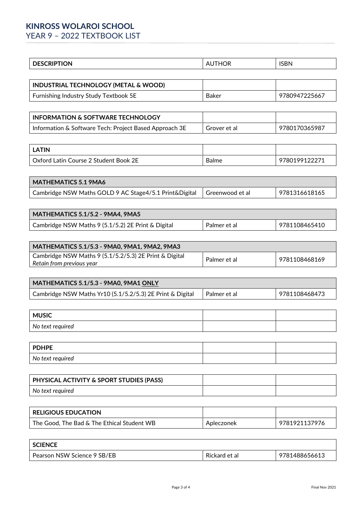# **KINROSS WOLAROI SCHOOL**

YEAR 9 – 2022 TEXTBOOK LIST

| .<br>ır | $- - - -$<br>יי<br>. . |
|---------|------------------------|
|         |                        |

| <b>INDUSTRIAL TECHNOLOGY (METAL &amp; WOOD)</b> |       |               |
|-------------------------------------------------|-------|---------------|
| Furnishing Industry Study Textbook 5E           | Baker | 9780947225667 |

| INFORMATION & SOFTWARE TECHNOLOGY                      |              |               |
|--------------------------------------------------------|--------------|---------------|
| Information & Software Tech: Project Based Approach 3E | Grover et al | 9780170365987 |

| .ATIN                                 |            |           |
|---------------------------------------|------------|-----------|
| Oxford Latin Course 2 Student Book 2E | -<br>Balme | .99122271 |

| <b>MATHEMATICS 5.1 9MA6</b>                                              |               |
|--------------------------------------------------------------------------|---------------|
| Cambridge NSW Maths GOLD 9 AC Stage4/5.1 Print&Digital   Greenwood et al | 9781316618165 |

| <b>MATHEMATICS 5.1/5.2 - 9MA4, 9MA5</b>            |              |               |
|----------------------------------------------------|--------------|---------------|
| Cambridge NSW Maths 9 (5.1/5.2) 2E Print & Digital | Palmer et al | 9781108465410 |

| MATHEMATICS 5.1/5.3 - 9MA0, 9MA1, 9MA2, 9MA3                                        |              |               |
|-------------------------------------------------------------------------------------|--------------|---------------|
| Cambridge NSW Maths 9 (5.1/5.2/5.3) 2E Print & Digital<br>Retain from previous year | Palmer et al | 9781108468169 |

| MATHEMATICS 5.1/5.3 - 9MA0, 9MA1 ONLY                     |              |               |
|-----------------------------------------------------------|--------------|---------------|
| Cambridge NSW Maths Yr10 (5.1/5.2/5.3) 2E Print & Digital | Palmer et al | 9781108468473 |

| <b>MUSIC</b>     |  |
|------------------|--|
| No text required |  |

| <b>PDHPE</b>     |  |
|------------------|--|
| No text required |  |

| PHYSICAL ACTIVITY & SPORT STUDIES (PASS) |  |
|------------------------------------------|--|
| No text reauired                         |  |

| <b>RELIGIOUS EDUCATION</b>                 |            |               |
|--------------------------------------------|------------|---------------|
| The Good, The Bad & The Ethical Student WB | Apleczonek | 9781921137976 |

| <b>SCIENCE</b>              |               |               |
|-----------------------------|---------------|---------------|
| Pearson NSW Science 9 SB/EB | Rickard et al | 9781488656613 |